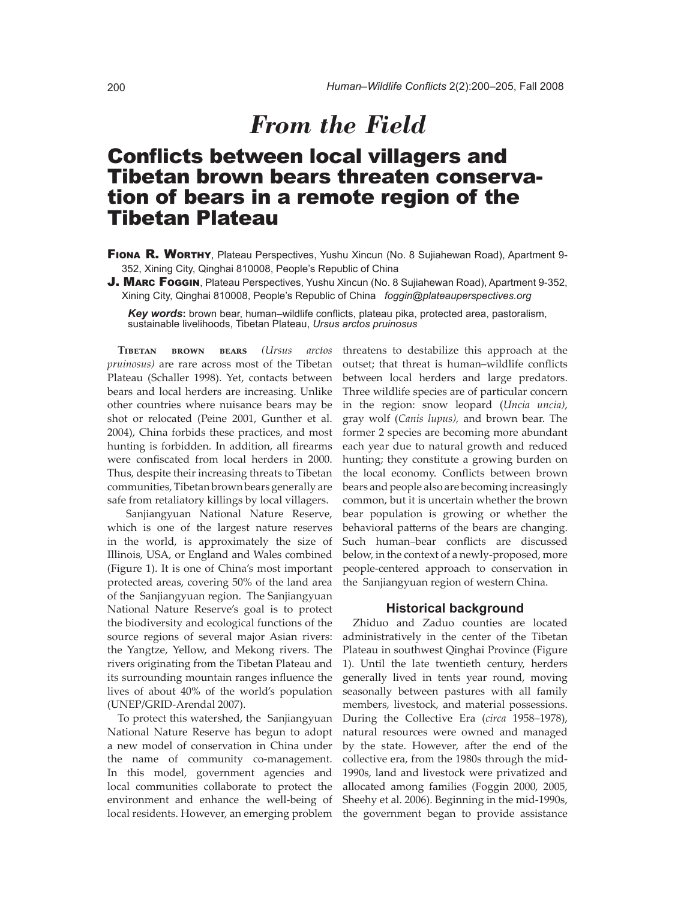# **Conflicts between local villagers and** Tibetan brown bears threaten conservation of bears in a remote region of the Tibetan Plateau

- FIONA R. WORTHY, Plateau Perspectives, Yushu Xincun (No. 8 Sujiahewan Road), Apartment 9-352, Xining City, Qinghai 810008, People's Republic of China
- J. MARC FOGGIN, Plateau Perspectives, Yushu Xincun (No. 8 Sujiahewan Road), Apartment 9-352, Xining City, Qinghai 810008, People's Republic of China *foggin@plateauperspectives.org*

**Key words:** brown bear, human–wildlife conflicts, plateau pika, protected area, pastoralism, sustainable livelihoods, Tibetan Plateau, *Ursus arctos pruinosus*

**Tibetan brown bears** *(Ursus arctos pruinosus)* are rare across most of the Tibetan Plateau (Schaller 1998). Yet, contacts between bears and local herders are increasing. Unlike other countries where nuisance bears may be shot or relocated (Peine 2001, Gunther et al. 2004), China forbids these practices, and most hunting is forbidden. In addition, all firearms were confiscated from local herders in 2000. Thus, despite their increasing threats to Tibetan communities, Tibetan brown bears generally are safe from retaliatory killings by local villagers.

 Sanjiangyuan National Nature Reserve, which is one of the largest nature reserves in the world, is approximately the size of Illinois, USA, or England and Wales combined (Figure 1). It is one of China's most important protected areas, covering 50% of the land area of the Sanjiangyuan region. The Sanjiangyuan National Nature Reserve's goal is to protect the biodiversity and ecological functions of the source regions of several major Asian rivers: the Yangtze, Yellow, and Mekong rivers. The rivers originating from the Tibetan Plateau and its surrounding mountain ranges influence the lives of about 40% of the world's population (UNEP/GRID-Arendal 2007).

To protect this watershed, the Sanjiangyuan National Nature Reserve has begun to adopt a new model of conservation in China under the name of community co-management. In this model, government agencies and local communities collaborate to protect the environment and enhance the well-being of local residents. However, an emerging problem

threatens to destabilize this approach at the outset; that threat is human-wildlife conflicts between local herders and large predators. Three wildlife species are of particular concern in the region: snow leopard (*Uncia uncia)*, gray wolf (*Canis lupus),* and brown bear. The former 2 species are becoming more abundant each year due to natural growth and reduced hunting; they constitute a growing burden on the local economy. Conflicts between brown bears and people also are becoming increasingly common, but it is uncertain whether the brown bear population is growing or whether the behavioral patterns of the bears are changing. Such human-bear conflicts are discussed below, in the context of a newly-proposed, more people-centered approach to conservation in the Sanjiangyuan region of western China.

## **Historical background**

Zhiduo and Zaduo counties are located administratively in the center of the Tibetan Plateau in southwest Qinghai Province (Figure 1). Until the late twentieth century, herders generally lived in tents year round, moving seasonally between pastures with all family members, livestock, and material possessions. During the Collective Era (*circa* 1958–1978), natural resources were owned and managed by the state. However, after the end of the collective era, from the 1980s through the mid-1990s, land and livestock were privatized and allocated among families (Foggin 2000, 2005, Sheehy et al. 2006). Beginning in the mid-1990s, the government began to provide assistance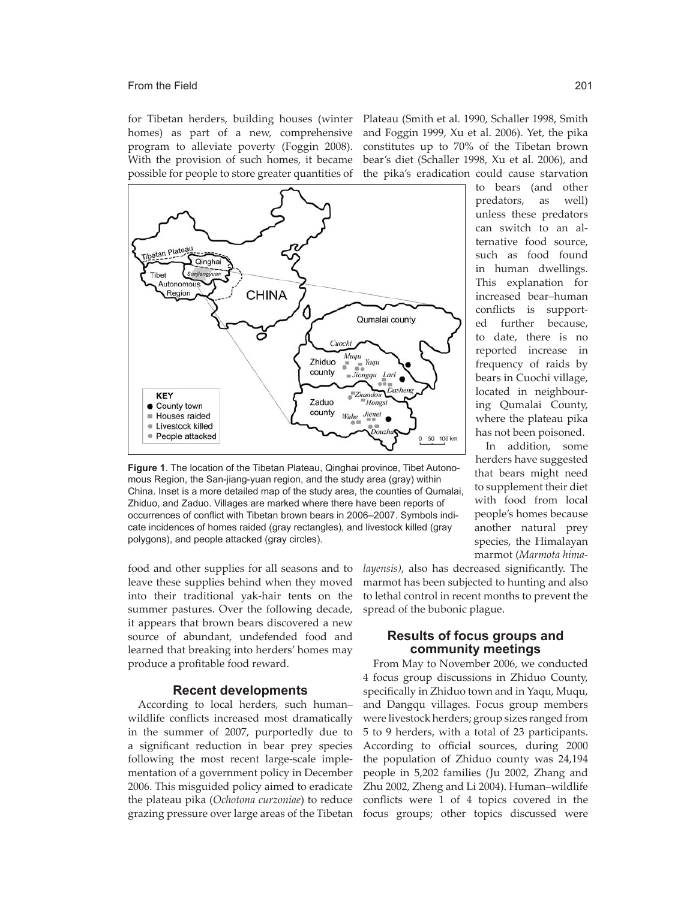for Tibetan herders, building houses (winter homes) as part of a new, comprehensive program to alleviate poverty (Foggin 2008). With the provision of such homes, it became possible for people to store greater quantities of

Plateau (Smith et al. 1990, Schaller 1998, Smith and Foggin 1999, Xu et al. 2006). Yet, the pika constitutes up to 70% of the Tibetan brown bear's diet (Schaller 1998, Xu et al. 2006), and the pika's eradication could cause starvation



**Figure 1**. The location of the Tibetan Plateau, Qinghai province, Tibet Autonomous Region, the San-jiang-yuan region, and the study area (gray) within China. Inset is a more detailed map of the study area, the counties of Qumalai, Zhiduo, and Zaduo. Villages are marked where there have been reports of occurrences of conflict with Tibetan brown bears in 2006–2007. Symbols indicate incidences of homes raided (gray rectangles), and livestock killed (gray polygons), and people attacked (gray circles).

food and other supplies for all seasons and to leave these supplies behind when they moved into their traditional yak-hair tents on the summer pastures. Over the following decade, it appears that brown bears discovered a new source of abundant, undefended food and learned that breaking into herders' homes may produce a profitable food reward.

## **Recent developments**

According to local herders, such humanwildlife conflicts increased most dramatically in the summer of 2007, purportedly due to a significant reduction in bear prey species following the most recent large-scale implementation of a government policy in December 2006. This misguided policy aimed to eradicate the plateau pika (*Ochotona curzoniae*) to reduce grazing pressure over large areas of the Tibetan

to bears (and other predators, as well) unless these predators can switch to an alternative food source, such as food found in human dwellings. This explanation for increased bear-human conflicts is supported further because, to date, there is no reported increase in frequency of raids by bears in Cuochi village, located in neighbouring Qumalai County, where the plateau pika has not been poisoned.

In addition, some herders have suggested that bears might need to supplement their diet with food from local people's homes because another natural prey species, the Himalayan marmot (*Marmota hima-*

*layensis*), also has decreased significantly. The marmot has been subjected to hunting and also to lethal control in recent months to prevent the spread of the bubonic plague.

## **Results of focus groups and community meetings**

From May to November 2006, we conducted 4 focus group discussions in Zhiduo County, specifically in Zhiduo town and in Yaqu, Muqu, and Dangqu villages. Focus group members were livestock herders; group sizes ranged from 5 to 9 herders, with a total of 23 participants. According to official sources, during 2000 the population of Zhiduo county was 24,194 people in 5,202 families (Ju 2002, Zhang and Zhu 2002, Zheng and Li 2004). Human-wildlife conflicts were 1 of 4 topics covered in the focus groups; other topics discussed were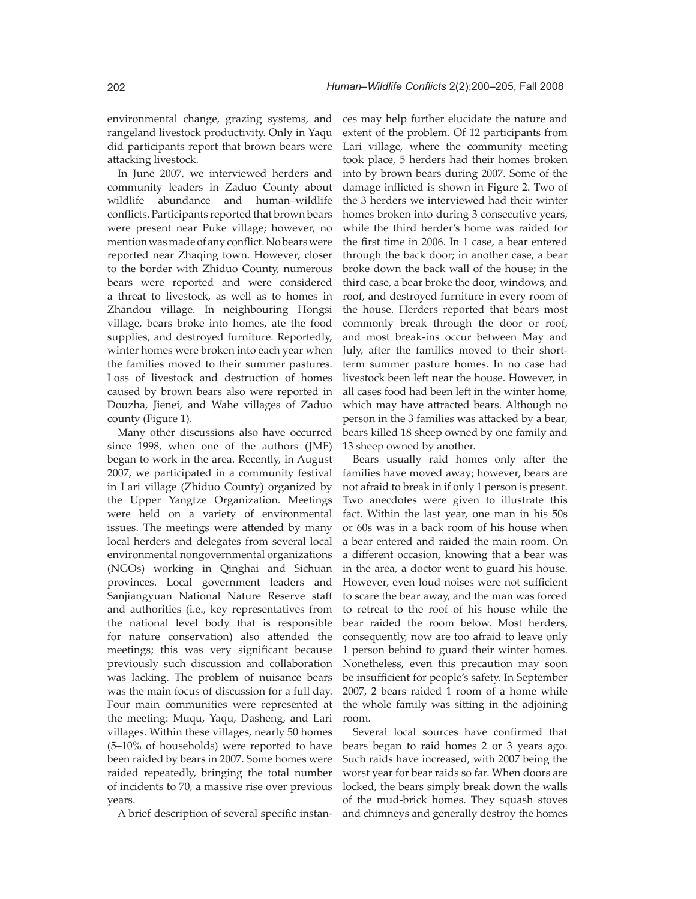environmental change, grazing systems, and rangeland livestock productivity. Only in Yaqu did participants report that brown bears were attacking livestock.

In June 2007, we interviewed herders and community leaders in Zaduo County about wildlife abundance and human-wildlife conflicts. Participants reported that brown bears were present near Puke village; however, no mention was made of any conflict. No bears were reported near Zhaqing town. However, closer to the border with Zhiduo County, numerous bears were reported and were considered a threat to livestock, as well as to homes in Zhandou village. In neighbouring Hongsi village, bears broke into homes, ate the food supplies, and destroyed furniture. Reportedly, winter homes were broken into each year when the families moved to their summer pastures. Loss of livestock and destruction of homes caused by brown bears also were reported in Douzha, Jienei, and Wahe villages of Zaduo county (Figure 1).

Many other discussions also have occurred since 1998, when one of the authors (JMF) began to work in the area. Recently, in August 2007, we participated in a community festival in Lari village (Zhiduo County) organized by the Upper Yangtze Organization. Meetings were held on a variety of environmental issues. The meetings were attended by many local herders and delegates from several local environmental nongovernmental organizations (NGOs) working in Qinghai and Sichuan provinces. Local government leaders and Sanjiangyuan National Nature Reserve staff and authorities (i.e., key representatives from the national level body that is responsible for nature conservation) also attended the meetings; this was very significant because previously such discussion and collaboration was lacking. The problem of nuisance bears was the main focus of discussion for a full day. Four main communities were represented at the meeting: Muqu, Yaqu, Dasheng, and Lari villages. Within these villages, nearly 50 homes  $(5-10\% \text{ of households})$  were reported to have been raided by bears in 2007. Some homes were raided repeatedly, bringing the total number of incidents to 70, a massive rise over previous years.

A brief description of several specific instan-

ces may help further elucidate the nature and extent of the problem. Of 12 participants from Lari village, where the community meeting took place, 5 herders had their homes broken into by brown bears during 2007. Some of the damage inflicted is shown in Figure 2. Two of the 3 herders we interviewed had their winter homes broken into during 3 consecutive years, while the third herder's home was raided for the first time in 2006. In 1 case, a bear entered through the back door; in another case, a bear broke down the back wall of the house; in the third case, a bear broke the door, windows, and roof, and destroyed furniture in every room of the house. Herders reported that bears most commonly break through the door or roof, and most break-ins occur between May and July, after the families moved to their shortterm summer pasture homes. In no case had livestock been left near the house. However, in all cases food had been left in the winter home, which may have attracted bears. Although no person in the 3 families was attacked by a bear, bears killed 18 sheep owned by one family and 13 sheep owned by another.

Bears usually raid homes only after the families have moved away; however, bears are not afraid to break in if only 1 person is present. Two anecdotes were given to illustrate this fact. Within the last year, one man in his 50s or 60s was in a back room of his house when a bear entered and raided the main room. On a different occasion, knowing that a bear was in the area, a doctor went to guard his house. However, even loud noises were not sufficient to scare the bear away, and the man was forced to retreat to the roof of his house while the bear raided the room below. Most herders, consequently, now are too afraid to leave only 1 person behind to guard their winter homes. Nonetheless, even this precaution may soon be insufficient for people's safety. In September 2007, 2 bears raided 1 room of a home while the whole family was sitting in the adjoining room.

Several local sources have confirmed that bears began to raid homes 2 or 3 years ago. Such raids have increased, with 2007 being the worst year for bear raids so far. When doors are locked, the bears simply break down the walls of the mud-brick homes. They squash stoves and chimneys and generally destroy the homes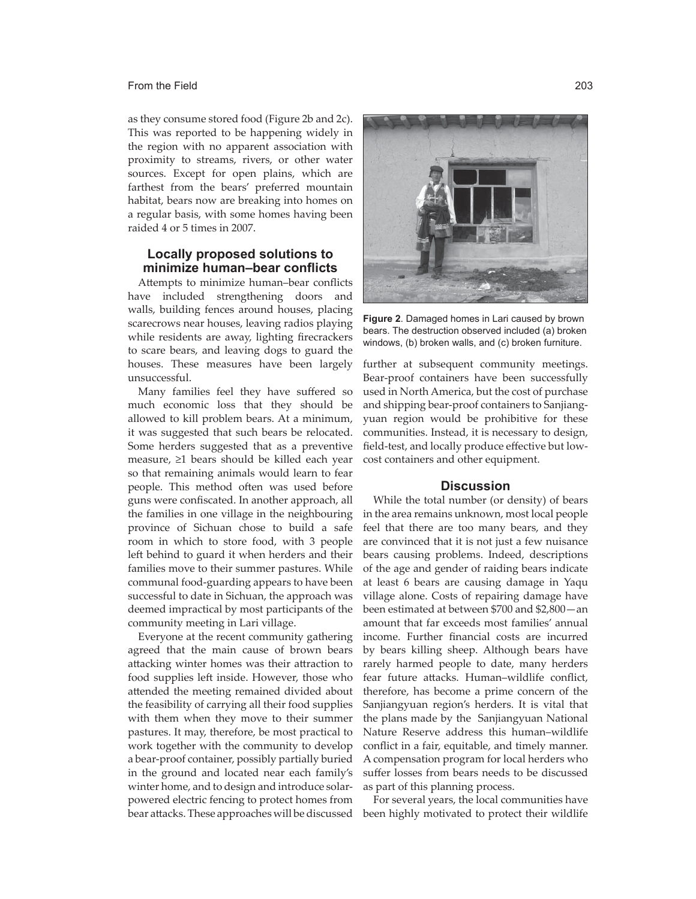as they consume stored food (Figure 2b and 2c). This was reported to be happening widely in the region with no apparent association with proximity to streams, rivers, or other water sources. Except for open plains, which are farthest from the bears' preferred mountain habitat, bears now are breaking into homes on a regular basis, with some homes having been raided 4 or 5 times in 2007.

## **Locally proposed solutions to**  minimize human–bear conflicts

Attempts to minimize human-bear conflicts have included strengthening doors and walls, building fences around houses, placing scarecrows near houses, leaving radios playing while residents are away, lighting firecrackers to scare bears, and leaving dogs to guard the houses. These measures have been largely unsuccessful.

Many families feel they have suffered so much economic loss that they should be allowed to kill problem bears. At a minimum, it was suggested that such bears be relocated. Some herders suggested that as a preventive measure,  $\geq 1$  bears should be killed each year so that remaining animals would learn to fear people. This method often was used before guns were confiscated. In another approach, all the families in one village in the neighbouring province of Sichuan chose to build a safe room in which to store food, with 3 people left behind to guard it when herders and their families move to their summer pastures. While communal food-guarding appears to have been successful to date in Sichuan, the approach was deemed impractical by most participants of the community meeting in Lari village.

Everyone at the recent community gathering agreed that the main cause of brown bears attacking winter homes was their attraction to food supplies left inside. However, those who attended the meeting remained divided about the feasibility of carrying all their food supplies with them when they move to their summer pastures. It may, therefore, be most practical to work together with the community to develop a bear-proof container, possibly partially buried in the ground and located near each family's winter home, and to design and introduce solarpowered electric fencing to protect homes from bear attacks. These approaches will be discussed



**Figure 2**. Damaged homes in Lari caused by brown bears. The destruction observed included (a) broken windows, (b) broken walls, and (c) broken furniture.

further at subsequent community meetings. Bear-proof containers have been successfully used in North America, but the cost of purchase and shipping bear-proof containers to Sanjiangyuan region would be prohibitive for these communities. Instead, it is necessary to design, field-test, and locally produce effective but lowcost containers and other equipment.

# **Discussion**

While the total number (or density) of bears in the area remains unknown, most local people feel that there are too many bears, and they are convinced that it is not just a few nuisance bears causing problems. Indeed, descriptions of the age and gender of raiding bears indicate at least 6 bears are causing damage in Yaqu village alone. Costs of repairing damage have been estimated at between  $$700$  and  $$2,800$  - an amount that far exceeds most families' annual income. Further financial costs are incurred by bears killing sheep. Although bears have rarely harmed people to date, many herders fear future attacks. Human-wildlife conflict, therefore, has become a prime concern of the Sanjiangyuan region's herders. It is vital that the plans made by the Sanjiangyuan National Nature Reserve address this human-wildlife conflict in a fair, equitable, and timely manner. A compensation program for local herders who suffer losses from bears needs to be discussed as part of this planning process.

For several years, the local communities have been highly motivated to protect their wildlife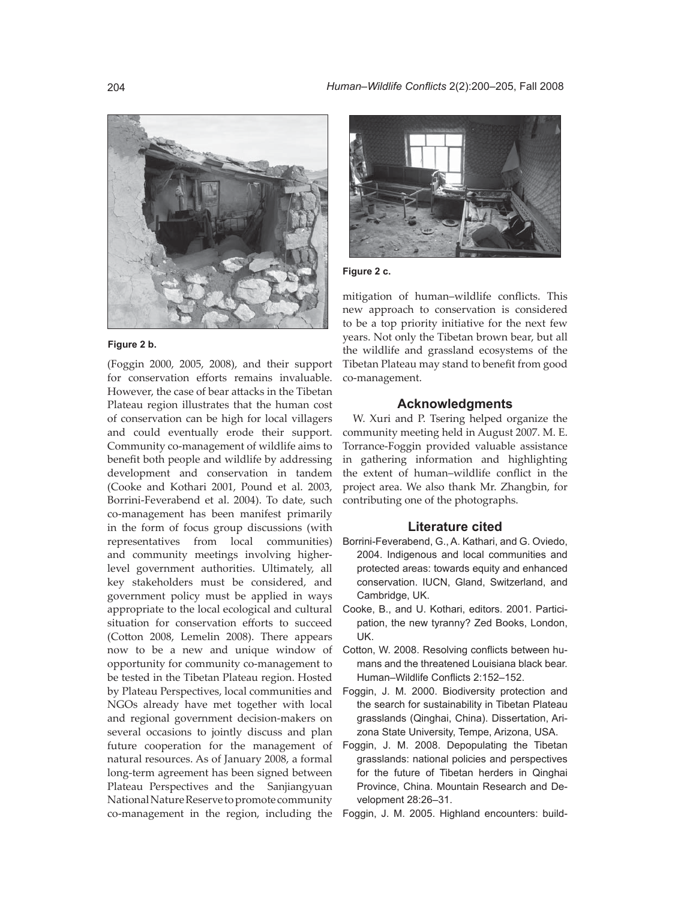

## **Figure 2 b.**

(Foggin 2000, 2005, 2008), and their support for conservation efforts remains invaluable. However, the case of bear attacks in the Tibetan Plateau region illustrates that the human cost of conservation can be high for local villagers and could eventually erode their support. Community co-management of wildlife aims to benefit both people and wildlife by addressing development and conservation in tandem (Cooke and Kothari 2001, Pound et al. 2003, Borrini-Feverabend et al. 2004). To date, such co-management has been manifest primarily in the form of focus group discussions (with representatives from local communities) and community meetings involving higherlevel government authorities. Ultimately, all key stakeholders must be considered, and government policy must be applied in ways appropriate to the local ecological and cultural situation for conservation efforts to succeed (Cotton 2008, Lemelin 2008). There appears now to be a new and unique window of opportunity for community co-management to be tested in the Tibetan Plateau region. Hosted by Plateau Perspectives, local communities and NGOs already have met together with local and regional government decision-makers on several occasions to jointly discuss and plan future cooperation for the management of natural resources. As of January 2008, a formal long-term agreement has been signed between Plateau Perspectives and the Sanjiangyuan National Nature Reserve to promote community co-management in the region, including the



## **Figure 2 c.**

mitigation of human-wildlife conflicts. This new approach to conservation is considered to be a top priority initiative for the next few years. Not only the Tibetan brown bear, but all the wildlife and grassland ecosystems of the Tibetan Plateau may stand to benefit from good co-management.

## **Acknowledgments**

W. Xuri and P. Tsering helped organize the community meeting held in August 2007. M. E. Torrance-Foggin provided valuable assistance in gathering information and highlighting the extent of human-wildlife conflict in the project area. We also thank Mr. Zhangbin, for contributing one of the photographs.

## **Literature cited**

- Borrini-Feverabend, G., A. Kathari, and G. Oviedo, 2004. Indigenous and local communities and protected areas: towards equity and enhanced conservation. IUCN, Gland, Switzerland, and Cambridge, UK.
- Cooke, B., and U. Kothari, editors. 2001. Participation, the new tyranny? Zed Books, London, UK.
- Cotton, W. 2008. Resolving conflicts between humans and the threatened Louisiana black bear. Human–Wildlife Conflicts 2:152–152.
- Foggin, J. M. 2000. Biodiversity protection and the search for sustainability in Tibetan Plateau grasslands (Qinghai, China). Dissertation, Arizona State University, Tempe, Arizona, USA.
- Foggin, J. M. 2008. Depopulating the Tibetan grasslands: national policies and perspectives for the future of Tibetan herders in Qinghai Province, China. Mountain Research and Development 28:26–31.
- Foggin, J. M. 2005. Highland encounters: build-